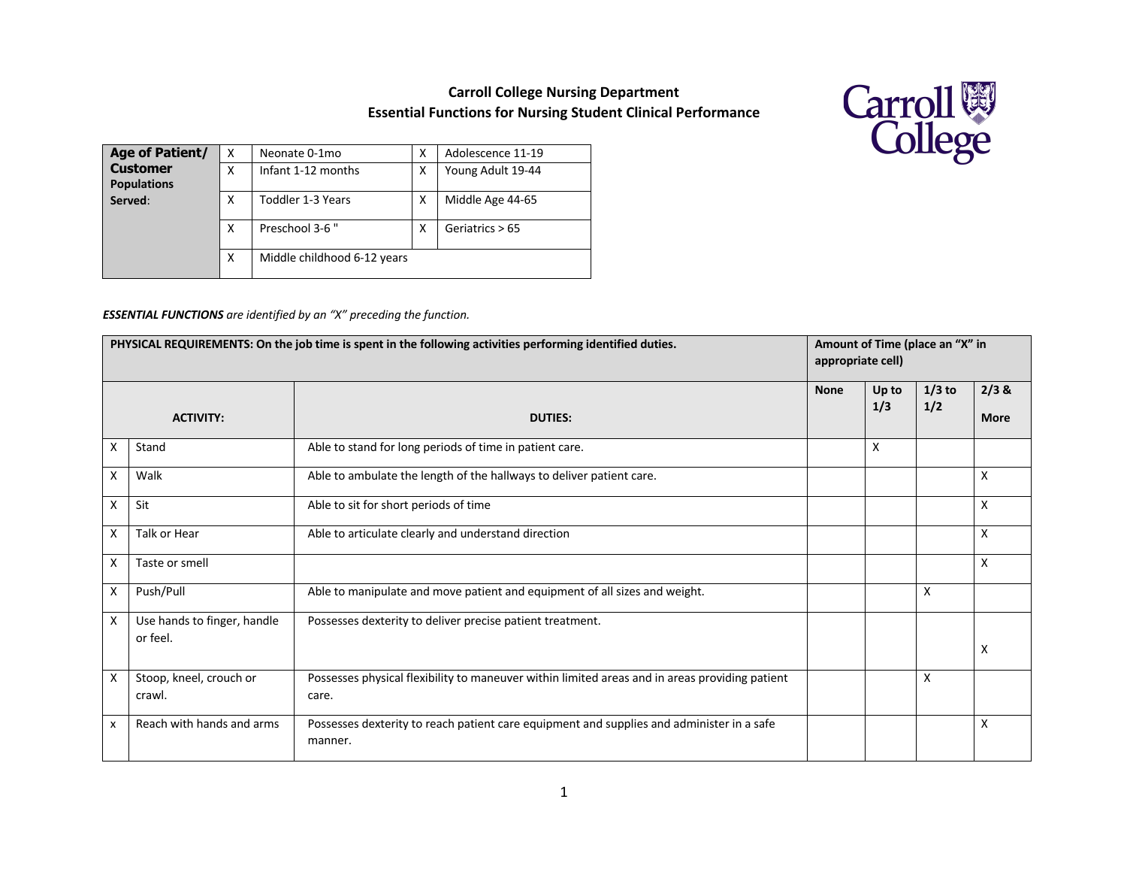## **Carroll College Nursing Department Essential Functions for Nursing Student Clinical Performance**



| <b>Age of Patient/</b>                | X | Neonate 0-1mo               | x | Adolescence 11-19 |  |  |
|---------------------------------------|---|-----------------------------|---|-------------------|--|--|
| <b>Customer</b><br><b>Populations</b> | X | Infant 1-12 months          | х | Young Adult 19-44 |  |  |
| Served:                               | х | Toddler 1-3 Years           | х | Middle Age 44-65  |  |  |
|                                       | X | Preschool 3-6"              | х | Geriatrics > 65   |  |  |
|                                       | X | Middle childhood 6-12 years |   |                   |  |  |

## *ESSENTIAL FUNCTIONS are identified by an "X" preceding the function.*

| PHYSICAL REQUIREMENTS: On the job time is spent in the following activities performing identified duties. |                                         |                                                                                                         | Amount of Time (place an "X" in<br>appropriate cell) |              |                 |                      |
|-----------------------------------------------------------------------------------------------------------|-----------------------------------------|---------------------------------------------------------------------------------------------------------|------------------------------------------------------|--------------|-----------------|----------------------|
|                                                                                                           | <b>ACTIVITY:</b>                        | <b>DUTIES:</b>                                                                                          | <b>None</b>                                          | Up to<br>1/3 | $1/3$ to<br>1/2 | 2/3 &<br><b>More</b> |
| X                                                                                                         | Stand                                   | Able to stand for long periods of time in patient care.                                                 |                                                      | X            |                 |                      |
| X                                                                                                         | Walk                                    | Able to ambulate the length of the hallways to deliver patient care.                                    |                                                      |              |                 | X                    |
| X                                                                                                         | Sit                                     | Able to sit for short periods of time                                                                   |                                                      |              |                 | X                    |
| X                                                                                                         | Talk or Hear                            | Able to articulate clearly and understand direction                                                     |                                                      |              |                 | X                    |
| X                                                                                                         | Taste or smell                          |                                                                                                         |                                                      |              |                 | X                    |
| X                                                                                                         | Push/Pull                               | Able to manipulate and move patient and equipment of all sizes and weight.                              |                                                      |              | $\times$        |                      |
| $\mathsf{X}$                                                                                              | Use hands to finger, handle<br>or feel. | Possesses dexterity to deliver precise patient treatment.                                               |                                                      |              |                 | X                    |
| X                                                                                                         | Stoop, kneel, crouch or<br>crawl.       | Possesses physical flexibility to maneuver within limited areas and in areas providing patient<br>care. |                                                      |              | X               |                      |
| x                                                                                                         | Reach with hands and arms               | Possesses dexterity to reach patient care equipment and supplies and administer in a safe<br>manner.    |                                                      |              |                 | X                    |